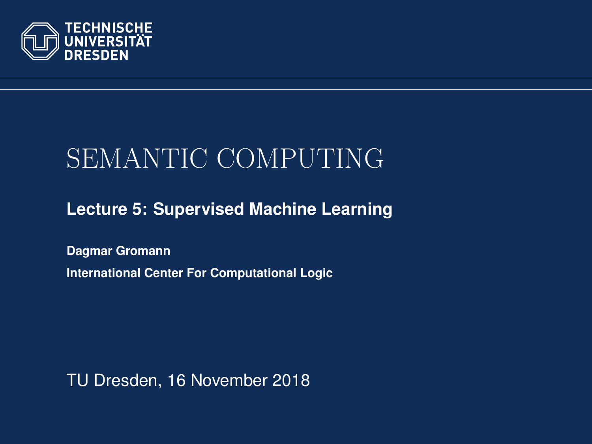<span id="page-0-0"></span>

# SEMANTIC COMPUTING

**[Lecture 5: Supervised Machine Learning](https://iccl.inf.tu-dresden.de/web/Semantic_Computing_(SS2018))**

**[Dagmar Gromann](https://iccl.inf.tu-dresden.de/web/Dagmar_Gromann) International Center For Computational Logic**

TU Dresden, 16 November 2018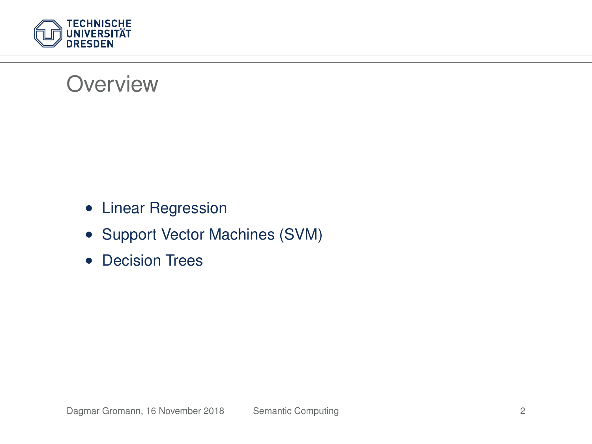

#### **Overview**

- Linear Regression
- Support Vector Machines (SVM)
- Decision Trees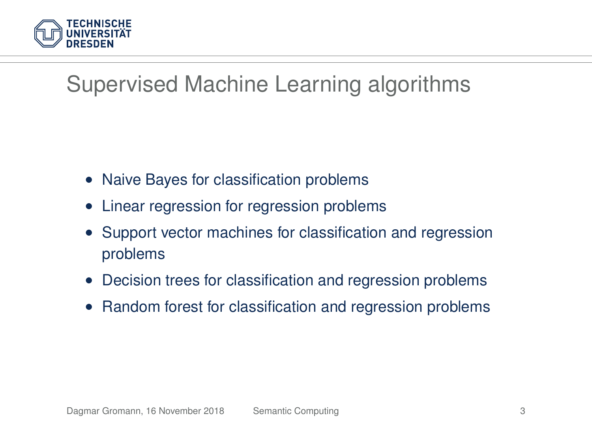

## Supervised Machine Learning algorithms

- Naive Bayes for classification problems
- Linear regression for regression problems
- Support vector machines for classification and regression problems
- Decision trees for classification and regression problems
- Random forest for classification and regression problems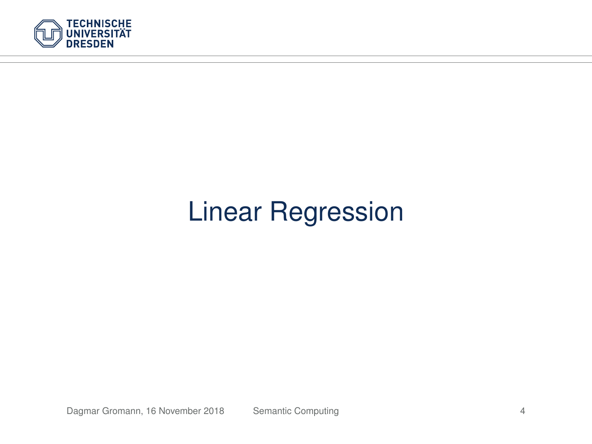

# Linear Regression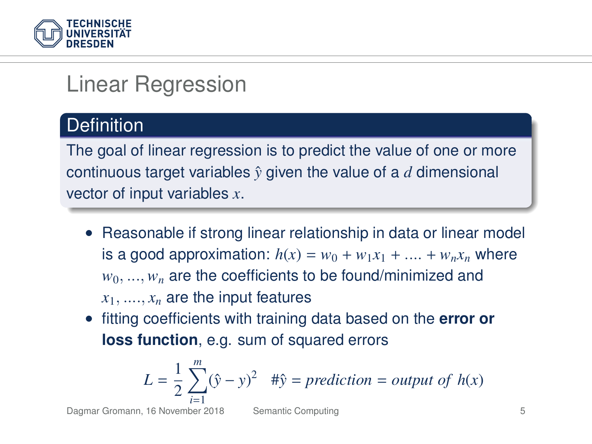

## Linear Regression

#### **Definition**

The goal of linear regression is to predict the value of one or more continuous target variables  $\hat{y}$  given the value of a *d* dimensional vector of input variables *x*.

- Reasonable if strong linear relationship in data or linear model is a good approximation:  $h(x) = w_0 + w_1x_1 + ... + w_nx_n$  where  $w_0, \ldots, w_n$  are the coefficients to be found/minimized and  $x_1, \ldots, x_n$  are the input features
- fitting coefficients with training data based on the **error or loss function**, e.g. sum of squared errors

$$
L = \frac{1}{2} \sum_{i=1}^{m} (\hat{y} - y)^2 \quad #\hat{y} = prediction = output \ of \ h(x)
$$

Dagmar Gromann, 16 November 2018 [Semantic Computing](#page-0-0) 5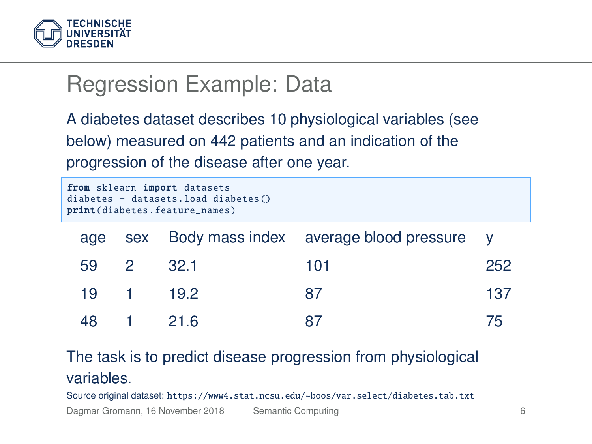

## Regression Example: Data

A diabetes dataset describes 10 physiological variables (see below) measured on 442 patients and an indication of the progression of the disease after one year.

```
from sklearn import datasets
diabetes = datasets.load diabetes ()
print(diabetes. feature_names)
```

|           | age sex Body mass index average blood pressure y |     |
|-----------|--------------------------------------------------|-----|
| 59 2 32.1 | 101                                              | 252 |
| 19 1 19.2 | 87                                               | 137 |
| 48 1 21.6 | 87                                               | 75  |

The task is to predict disease progression from physiological variables.

Source original dataset: <https://www4.stat.ncsu.edu/~boos/var.select/diabetes.tab.txt>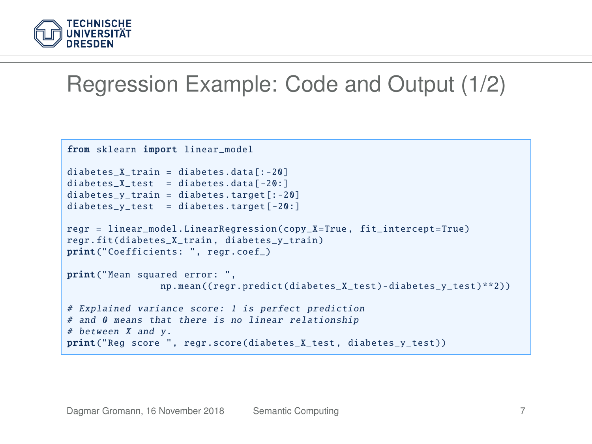

#### Regression Example: Code and Output (1/2)

```
from sklearn import linear_model
diabetes X train = diabetes.data [-20]diabetes_X_test = diabetes.data[-20:]diabetes v train = diabetes.target [-20]diabetes v test = diabetes.target [-20:]regr = linear_model . LinearRegression (copy_X=True , fit_intercept =True)
regr.fit(diabetes X train, diabetes y train)
print(" Coefficients : ", regr.coef_)
print("Mean squared error: ",
                np.mean ((regr.predict(diabetes X test)-diabetes y test)**2))
# Explained variance score: 1 is perfect prediction
# and 0 means that there is no linear relationship
# between X and y.
print("Reg score ", regr.score(diabetes_X_test , diabetes_y_test ))
```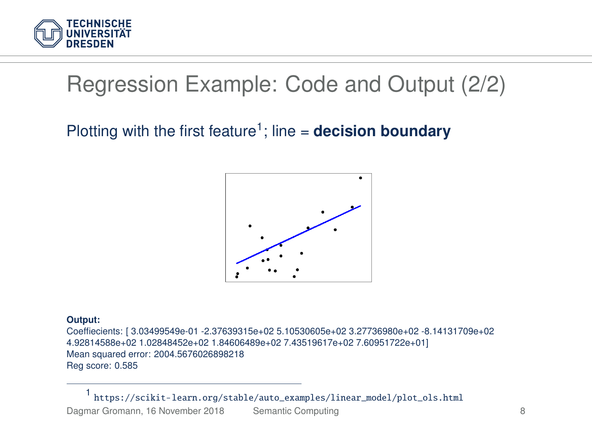

## Regression Example: Code and Output (2/2)

#### Plotting with the first feature<sup>1</sup>; line = **decision boundary**



#### **Output:**

Coeffiecients: [ 3.03499549e-01 -2.37639315e+02 5.10530605e+02 3.27736980e+02 -8.14131709e+02 4.92814588e+02 1.02848452e+02 1.84606489e+02 7.43519617e+02 7.60951722e+01] Mean squared error: 2004.5676026898218 Reg score: 0.585

1 [https://scikit-learn.org/stable/auto\\_examples/linear\\_model/plot\\_ols.html](https://scikit-learn.org/stable/auto_examples/linear_model/plot_ols.html) Dagmar Gromann, 16 November 2018 [Semantic Computing](#page-0-0) 8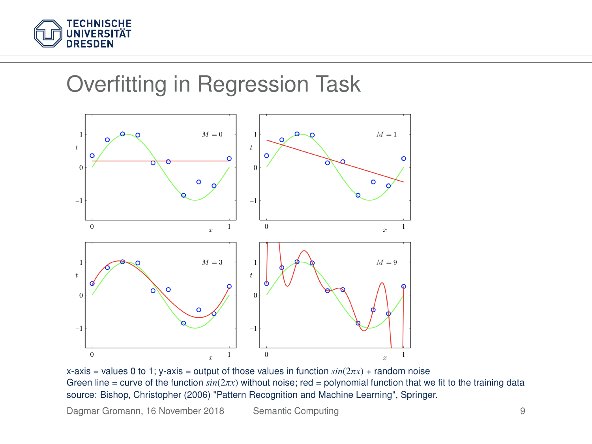

## Overfitting in Regression Task



x-axis = values 0 to 1; y-axis = output of those values in function  $sin(2\pi x)$  + random noise<br>Green line = curve of the function  $sin(2\pi x)$  without noise; red = polynomial function that we fit to the training data<br>source: Bi source: Bishop, Christopher (2006) "Pattern Recognition and Machine Learning", Springer.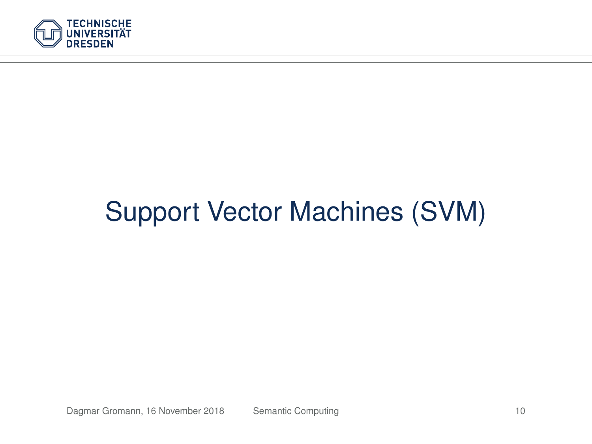

# Support Vector Machines (SVM)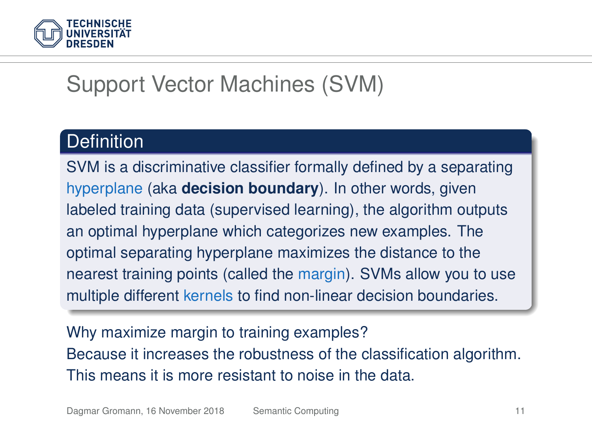

## Support Vector Machines (SVM)

#### **Definition**

SVM is a discriminative classifier formally defined by a separating hyperplane (aka **decision boundary**). In other words, given labeled training data (supervised learning), the algorithm outputs an optimal hyperplane which categorizes new examples. The optimal separating hyperplane maximizes the distance to the nearest training points (called the margin). SVMs allow you to use multiple different kernels to find non-linear decision boundaries.

Why maximize margin to training examples? Because it increases the robustness of the classification algorithm. This means it is more resistant to noise in the data.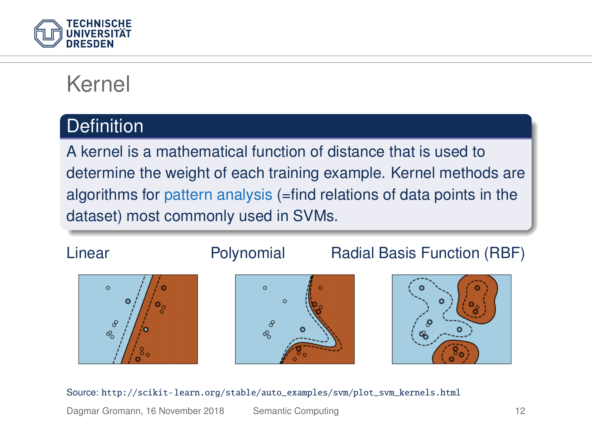

## Kernel

#### **Definition**

A kernel is a mathematical function of distance that is used to determine the weight of each training example. Kernel methods are algorithms for pattern analysis (=find relations of data points in the dataset) most commonly used in SVMs.





## Linear **Polynomial** Radial Basis Function (RBF)



#### Source: [http://scikit-learn.org/stable/auto\\_examples/svm/plot\\_svm\\_kernels.html](http://scikit-learn.org/stable/auto_examples/svm/plot_svm_kernels.html)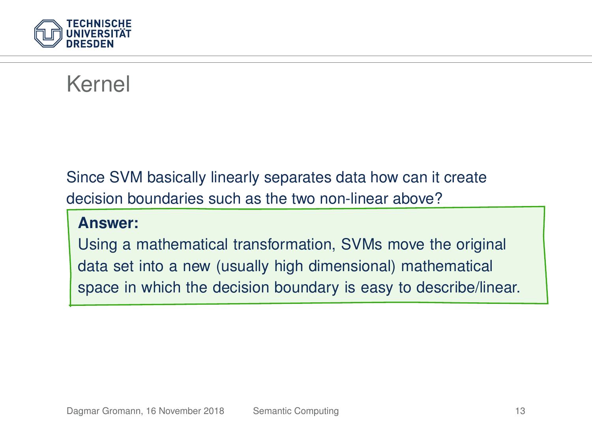

## Kernel

Since SVM basically linearly separates data how can it create decision boundaries such as the two non-linear above?

#### **Answer:**

Using a mathematical transformation, SVMs move the original data set into a new (usually high dimensional) mathematical space in which the decision boundary is easy to describe/linear.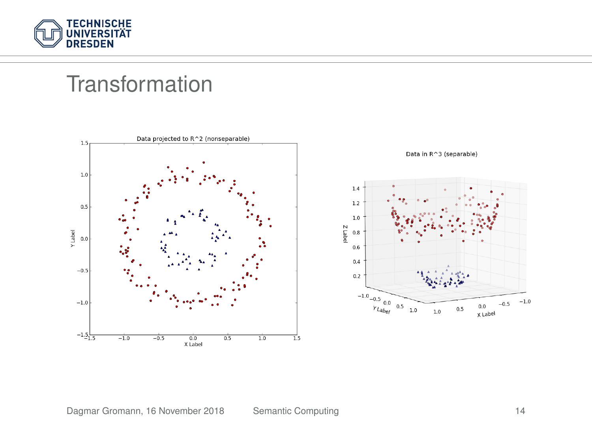

#### **Transformation**

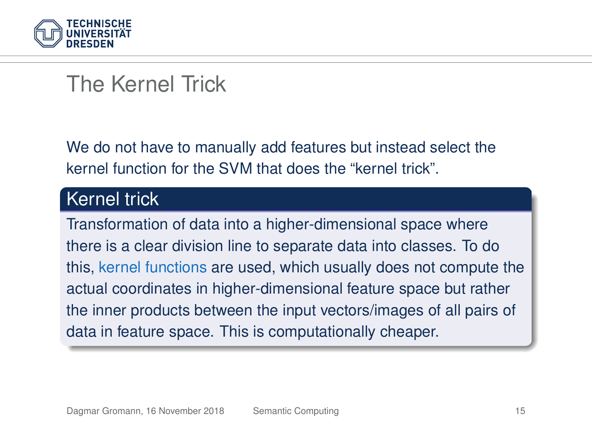

## The Kernel Trick

We do not have to manually add features but instead select the kernel function for the SVM that does the "kernel trick".

#### Kernel trick

Transformation of data into a higher-dimensional space where there is a clear division line to separate data into classes. To do this, kernel functions are used, which usually does not compute the actual coordinates in higher-dimensional feature space but rather the inner products between the input vectors/images of all pairs of data in feature space. This is computationally cheaper.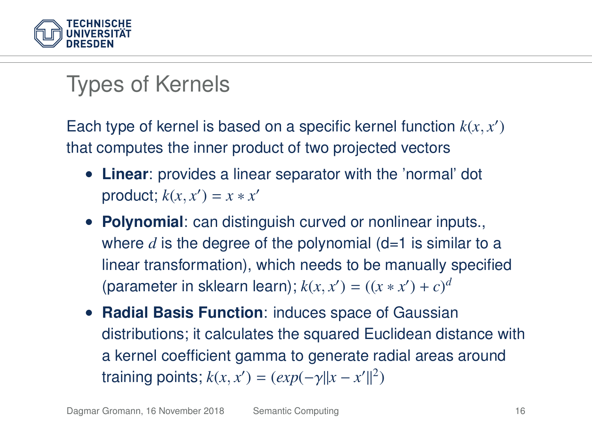

## Types of Kernels

Each type of kernel is based on a specific kernel function  $k(x, x')$ that computes the inner product of two projected vectors

- **Linear**: provides a linear separator with the 'normal' dot product;  $k(x, x') = x * x'$
- **Polynomial**: can distinguish curved or nonlinear inputs., where *d* is the degree of the polynomial (d=1 is similar to a linear transformation), which needs to be manually specified (parameter in sklearn learn);  $k(x, x') = ((x * x') + c)^d$
- **Radial Basis Function**: induces space of Gaussian distributions; it calculates the squared Euclidean distance with a kernel coefficient gamma to generate radial areas around training points;  $k(x, x') = (exp(-\gamma ||x - x'||^2))$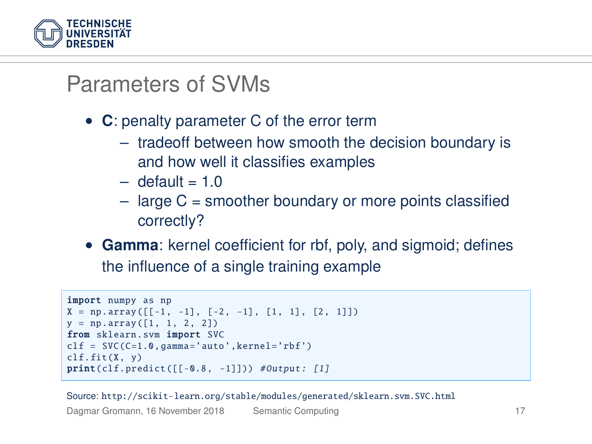

#### Parameters of SVMs

- **C**: penalty parameter C of the error term
	- tradeoff between how smooth the decision boundary is and how well it classifies examples
	- $-$  default = 1.0
	- $-$  large C = smoother boundary or more points classified correctly?
- **Gamma**: kernel coefficient for rbf, poly, and sigmoid; defines the influence of a single training example

```
import numpy as np
X = np.array([[-1, -1], [-2, -1], [1, 1], [2, 1]])y = np.array([1, 1, 2, 2])from sklearn.svm import SVC
clf = SVC(C=1.0, gamma='auto', kerne1='rbf')clf.fit(X, y)print(clf, predict ([] -0.8, -11])) #Output: [1]
```
Source: <http://scikit-learn.org/stable/modules/generated/sklearn.svm.SVC.html>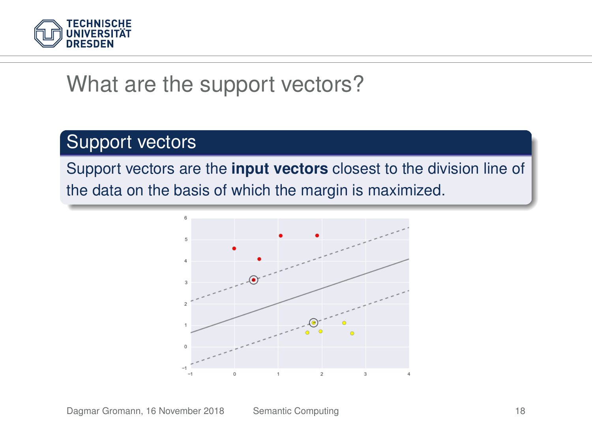

#### What are the support vectors?

#### Support vectors

Support vectors are the **input vectors** closest to the division line of the data on the basis of which the margin is maximized.

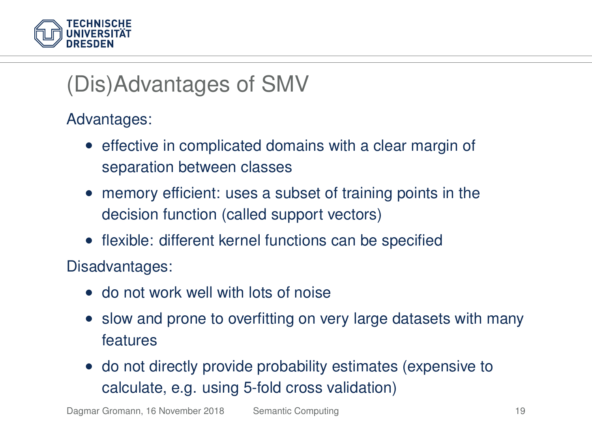

## (Dis)Advantages of SMV

Advantages:

- effective in complicated domains with a clear margin of separation between classes
- memory efficient: uses a subset of training points in the decision function (called support vectors)
- flexible: different kernel functions can be specified

Disadvantages:

- do not work well with lots of noise
- slow and prone to overfitting on very large datasets with many features
- do not directly provide probability estimates (expensive to calculate, e.g. using 5-fold cross validation)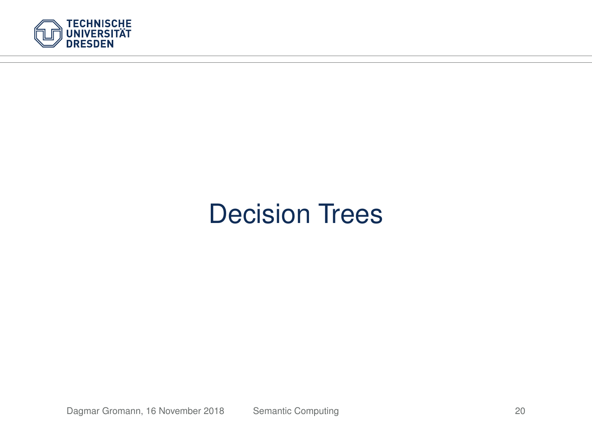

# Decision Trees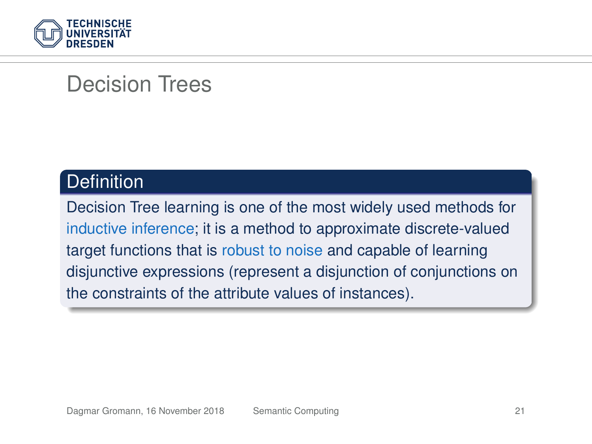

#### Decision Trees

#### **Definition**

Decision Tree learning is one of the most widely used methods for inductive inference; it is a method to approximate discrete-valued target functions that is robust to noise and capable of learning disjunctive expressions (represent a disjunction of conjunctions on the constraints of the attribute values of instances).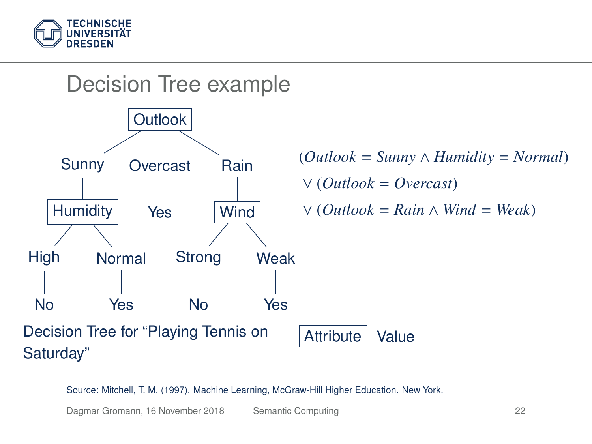



Source: Mitchell, T. M. (1997). Machine Learning, McGraw-Hill Higher Education. New York.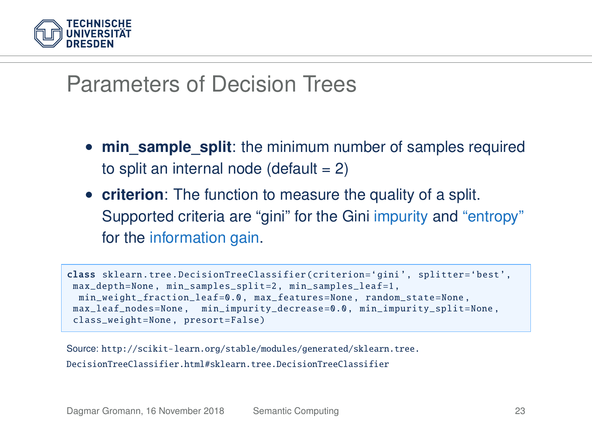

#### Parameters of Decision Trees

- **min sample split**: the minimum number of samples required to split an internal node (default  $= 2$ )
- **criterion**: The function to measure the quality of a split. Supported criteria are "gini" for the Gini impurity and "entropy" for the information gain.

```
class sklearn.tree. DecisionTreeClassifier ( criterion ='gini ', splitter='best ',
max depth=None, min_samples_split=2, min_samples_leaf=1,
 min_weight_fraction_leaf =0.0 , max_features =None , random_state =None ,
max leaf nodes = None , min impurity decrease = 0.0 , min impurity split = None .
class_weight =None , presort=False)
```
Source: [http://scikit-learn.org/stable/modules/generated/sklearn.tree.](http://scikit-learn.org/stable/modules/generated/sklearn.tree.DecisionTreeClassifier.html#sklearn.tree.DecisionTreeClassifier) [DecisionTreeClassifier.html#sklearn.tree.DecisionTreeClassifier](http://scikit-learn.org/stable/modules/generated/sklearn.tree.DecisionTreeClassifier.html#sklearn.tree.DecisionTreeClassifier)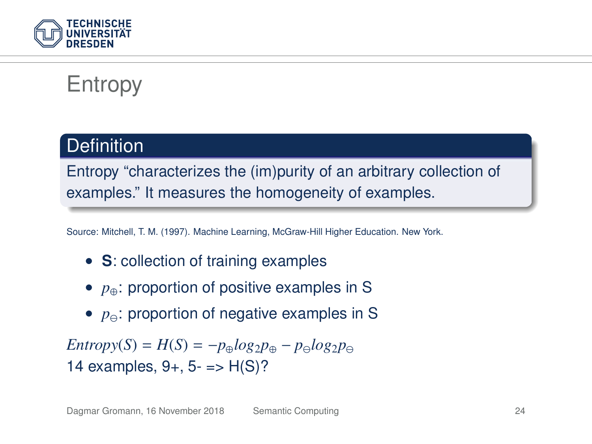

## Entropy

#### **Definition**

Entropy "characterizes the (im)purity of an arbitrary collection of examples." It measures the homogeneity of examples.

Source: Mitchell, T. M. (1997). Machine Learning, McGraw-Hill Higher Education. New York.

- **S**: collection of training examples
- *p*⊕: proportion of positive examples in S
- $p_{\ominus}$ : proportion of negative examples in S

 $Entropy(S) = H(S) = -p_{\oplus}log_2p_{\oplus} - p_{\ominus}log_2p_{\ominus}$ 14 examples,  $9+$ ,  $5-$  =>  $H(S)?$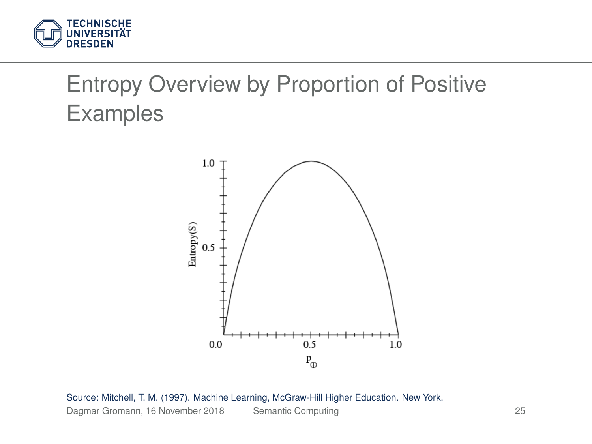

# Entropy Overview by Proportion of Positive Examples



Source: Mitchell, T. M. (1997). Machine Learning, McGraw-Hill Higher Education. New York. Dagmar Gromann, 16 November 2018 [Semantic Computing](#page-0-0) 25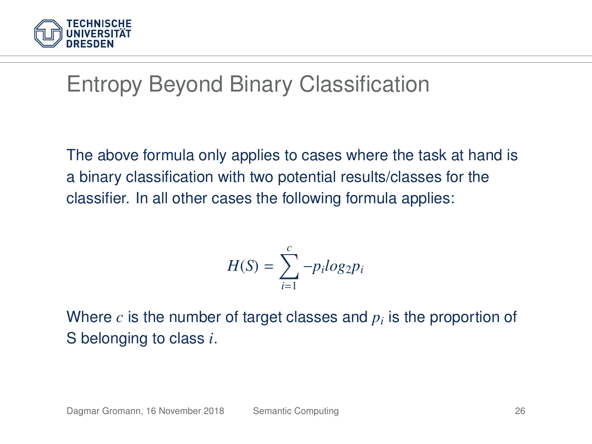

## Entropy Beyond Binary Classification

The above formula only applies to cases where the task at hand is a binary classification with two potential results/classes for the classifier. In all other cases the following formula applies:

$$
H(S) = \sum_{i=1}^{c} -p_i \log_2 p_i
$$

Where  $c$  is the number of target classes and  $p_i$  is the proportion of S belonging to class *i*.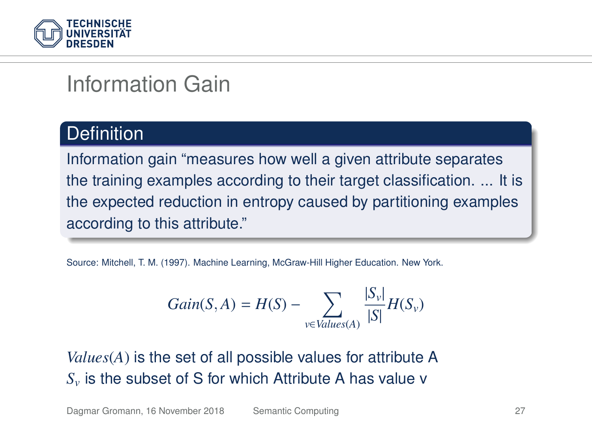

## Information Gain

#### **Definition**

Information gain "measures how well a given attribute separates the training examples according to their target classification. ... It is the expected reduction in entropy caused by partitioning examples according to this attribute."

Source: Mitchell, T. M. (1997). Machine Learning, McGraw-Hill Higher Education. New York.

$$
Gain(S, A) = H(S) - \sum_{v \in Values(A)} \frac{|S_v|}{|S|} H(S_v)
$$

*Values*(*A*) is the set of all possible values for attribute A *S<sup>v</sup>* is the subset of S for which Attribute A has value v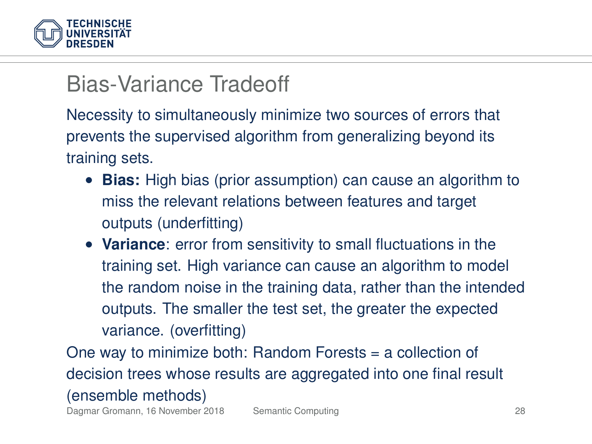

#### Bias-Variance Tradeoff

Necessity to simultaneously minimize two sources of errors that prevents the supervised algorithm from generalizing beyond its training sets.

- **Bias:** High bias (prior assumption) can cause an algorithm to miss the relevant relations between features and target outputs (underfitting)
- **Variance**: error from sensitivity to small fluctuations in the training set. High variance can cause an algorithm to model the random noise in the training data, rather than the intended outputs. The smaller the test set, the greater the expected variance. (overfitting)

One way to minimize both: Random Forests = a collection of decision trees whose results are aggregated into one final result (ensemble methods)

Dagmar Gromann, 16 November 2018 [Semantic Computing](#page-0-0) 28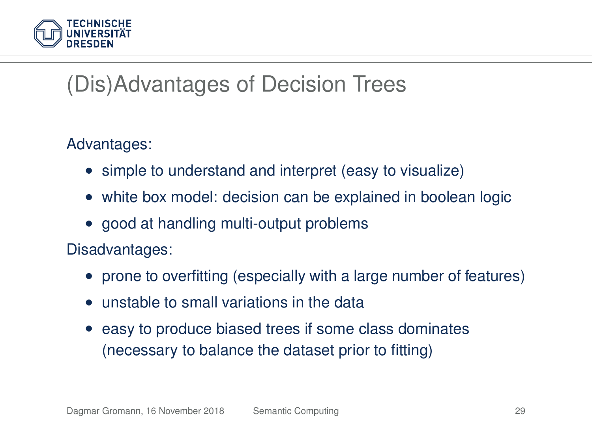

## (Dis)Advantages of Decision Trees

Advantages:

- simple to understand and interpret (easy to visualize)
- white box model: decision can be explained in boolean logic
- good at handling multi-output problems

Disadvantages:

- prone to overfitting (especially with a large number of features)
- unstable to small variations in the data
- easy to produce biased trees if some class dominates (necessary to balance the dataset prior to fitting)